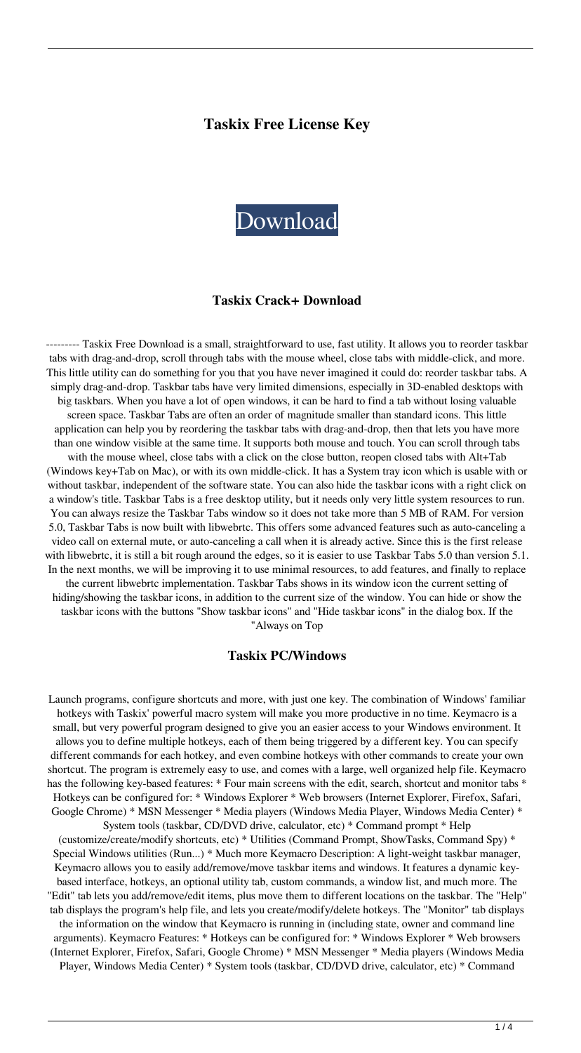## **Taskix Free License Key**



#### **Taskix Crack+ Download**

--------- Taskix Free Download is a small, straightforward to use, fast utility. It allows you to reorder taskbar tabs with drag-and-drop, scroll through tabs with the mouse wheel, close tabs with middle-click, and more. This little utility can do something for you that you have never imagined it could do: reorder taskbar tabs. A simply drag-and-drop. Taskbar tabs have very limited dimensions, especially in 3D-enabled desktops with big taskbars. When you have a lot of open windows, it can be hard to find a tab without losing valuable screen space. Taskbar Tabs are often an order of magnitude smaller than standard icons. This little application can help you by reordering the taskbar tabs with drag-and-drop, then that lets you have more than one window visible at the same time. It supports both mouse and touch. You can scroll through tabs with the mouse wheel, close tabs with a click on the close button, reopen closed tabs with Alt+Tab (Windows key+Tab on Mac), or with its own middle-click. It has a System tray icon which is usable with or without taskbar, independent of the software state. You can also hide the taskbar icons with a right click on a window's title. Taskbar Tabs is a free desktop utility, but it needs only very little system resources to run. You can always resize the Taskbar Tabs window so it does not take more than 5 MB of RAM. For version 5.0, Taskbar Tabs is now built with libwebrtc. This offers some advanced features such as auto-canceling a video call on external mute, or auto-canceling a call when it is already active. Since this is the first release with libwebrtc, it is still a bit rough around the edges, so it is easier to use Taskbar Tabs 5.0 than version 5.1. In the next months, we will be improving it to use minimal resources, to add features, and finally to replace the current libwebrtc implementation. Taskbar Tabs shows in its window icon the current setting of hiding/showing the taskbar icons, in addition to the current size of the window. You can hide or show the taskbar icons with the buttons "Show taskbar icons" and "Hide taskbar icons" in the dialog box. If the

"Always on Top

#### **Taskix PC/Windows**

Launch programs, configure shortcuts and more, with just one key. The combination of Windows' familiar hotkeys with Taskix' powerful macro system will make you more productive in no time. Keymacro is a small, but very powerful program designed to give you an easier access to your Windows environment. It allows you to define multiple hotkeys, each of them being triggered by a different key. You can specify different commands for each hotkey, and even combine hotkeys with other commands to create your own shortcut. The program is extremely easy to use, and comes with a large, well organized help file. Keymacro has the following key-based features: \* Four main screens with the edit, search, shortcut and monitor tabs \* Hotkeys can be configured for: \* Windows Explorer \* Web browsers (Internet Explorer, Firefox, Safari, Google Chrome) \* MSN Messenger \* Media players (Windows Media Player, Windows Media Center) \* System tools (taskbar, CD/DVD drive, calculator, etc) \* Command prompt \* Help

(customize/create/modify shortcuts, etc) \* Utilities (Command Prompt, ShowTasks, Command Spy) \* Special Windows utilities (Run...) \* Much more Keymacro Description: A light-weight taskbar manager, Keymacro allows you to easily add/remove/move taskbar items and windows. It features a dynamic keybased interface, hotkeys, an optional utility tab, custom commands, a window list, and much more. The "Edit" tab lets you add/remove/edit items, plus move them to different locations on the taskbar. The "Help" tab displays the program's help file, and lets you create/modify/delete hotkeys. The "Monitor" tab displays the information on the window that Keymacro is running in (including state, owner and command line arguments). Keymacro Features: \* Hotkeys can be configured for: \* Windows Explorer \* Web browsers (Internet Explorer, Firefox, Safari, Google Chrome) \* MSN Messenger \* Media players (Windows Media Player, Windows Media Center) \* System tools (taskbar, CD/DVD drive, calculator, etc) \* Command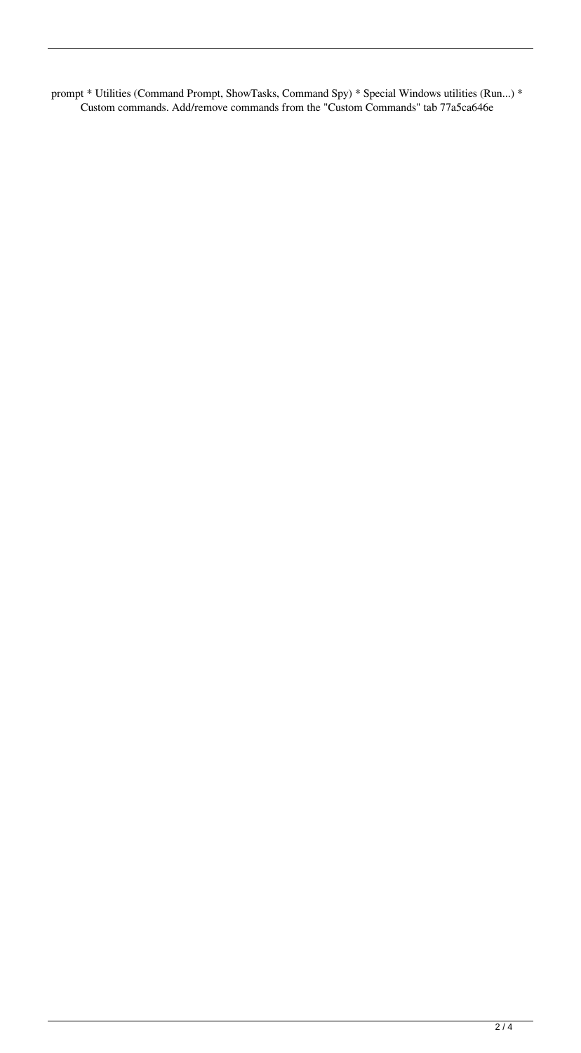prompt \* Utilities (Command Prompt, ShowTasks, Command Spy) \* Special Windows utilities (Run...) \* Custom commands. Add/remove commands from the "Custom Commands" tab 77a5ca646e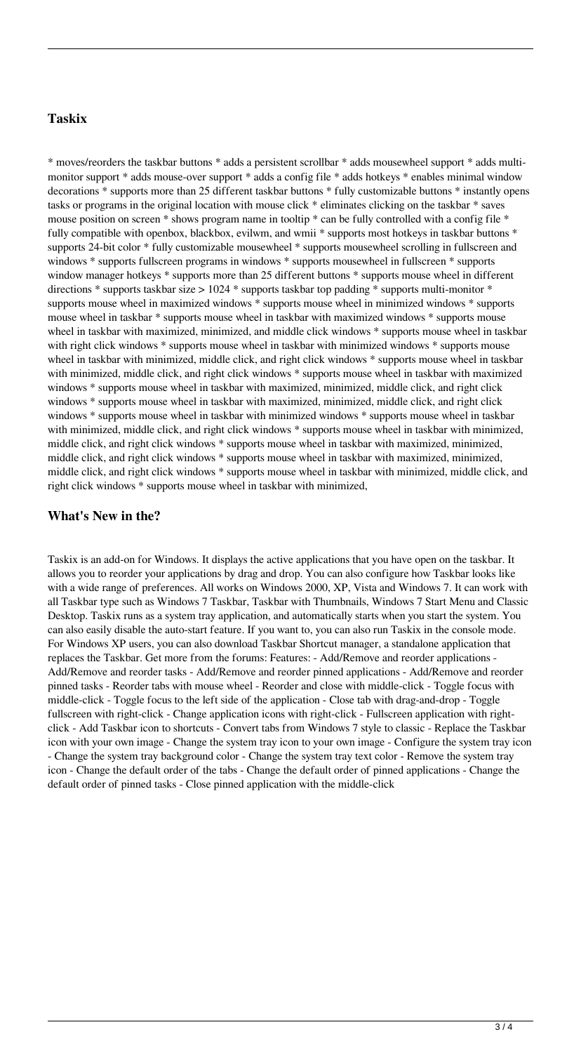# **Taskix**

\* moves/reorders the taskbar buttons \* adds a persistent scrollbar \* adds mousewheel support \* adds multimonitor support \* adds mouse-over support \* adds a config file \* adds hotkeys \* enables minimal window decorations \* supports more than 25 different taskbar buttons \* fully customizable buttons \* instantly opens tasks or programs in the original location with mouse click \* eliminates clicking on the taskbar \* saves mouse position on screen \* shows program name in tooltip \* can be fully controlled with a config file \* fully compatible with openbox, blackbox, evilwm, and wmii \* supports most hotkeys in taskbar buttons \* supports 24-bit color \* fully customizable mousewheel \* supports mousewheel scrolling in fullscreen and windows \* supports fullscreen programs in windows \* supports mousewheel in fullscreen \* supports window manager hotkeys  $*$  supports more than 25 different buttons  $*$  supports mouse wheel in different directions \* supports taskbar size > 1024 \* supports taskbar top padding \* supports multi-monitor \* supports mouse wheel in maximized windows \* supports mouse wheel in minimized windows \* supports mouse wheel in taskbar \* supports mouse wheel in taskbar with maximized windows \* supports mouse wheel in taskbar with maximized, minimized, and middle click windows \* supports mouse wheel in taskbar with right click windows  $*$  supports mouse wheel in taskbar with minimized windows  $*$  supports mouse wheel in taskbar with minimized, middle click, and right click windows  $*$  supports mouse wheel in taskbar with minimized, middle click, and right click windows \* supports mouse wheel in taskbar with maximized windows  $*$  supports mouse wheel in taskbar with maximized, minimized, middle click, and right click windows  $*$  supports mouse wheel in taskbar with maximized, minimized, middle click, and right click windows \* supports mouse wheel in taskbar with minimized windows \* supports mouse wheel in taskbar with minimized, middle click, and right click windows \* supports mouse wheel in taskbar with minimized, middle click, and right click windows \* supports mouse wheel in taskbar with maximized, minimized, middle click, and right click windows \* supports mouse wheel in taskbar with maximized, minimized, middle click, and right click windows \* supports mouse wheel in taskbar with minimized, middle click, and right click windows \* supports mouse wheel in taskbar with minimized,

### **What's New in the?**

Taskix is an add-on for Windows. It displays the active applications that you have open on the taskbar. It allows you to reorder your applications by drag and drop. You can also configure how Taskbar looks like with a wide range of preferences. All works on Windows 2000, XP, Vista and Windows 7. It can work with all Taskbar type such as Windows 7 Taskbar, Taskbar with Thumbnails, Windows 7 Start Menu and Classic Desktop. Taskix runs as a system tray application, and automatically starts when you start the system. You can also easily disable the auto-start feature. If you want to, you can also run Taskix in the console mode. For Windows XP users, you can also download Taskbar Shortcut manager, a standalone application that replaces the Taskbar. Get more from the forums: Features: - Add/Remove and reorder applications - Add/Remove and reorder tasks - Add/Remove and reorder pinned applications - Add/Remove and reorder pinned tasks - Reorder tabs with mouse wheel - Reorder and close with middle-click - Toggle focus with middle-click - Toggle focus to the left side of the application - Close tab with drag-and-drop - Toggle fullscreen with right-click - Change application icons with right-click - Fullscreen application with rightclick - Add Taskbar icon to shortcuts - Convert tabs from Windows 7 style to classic - Replace the Taskbar icon with your own image - Change the system tray icon to your own image - Configure the system tray icon - Change the system tray background color - Change the system tray text color - Remove the system tray icon - Change the default order of the tabs - Change the default order of pinned applications - Change the default order of pinned tasks - Close pinned application with the middle-click